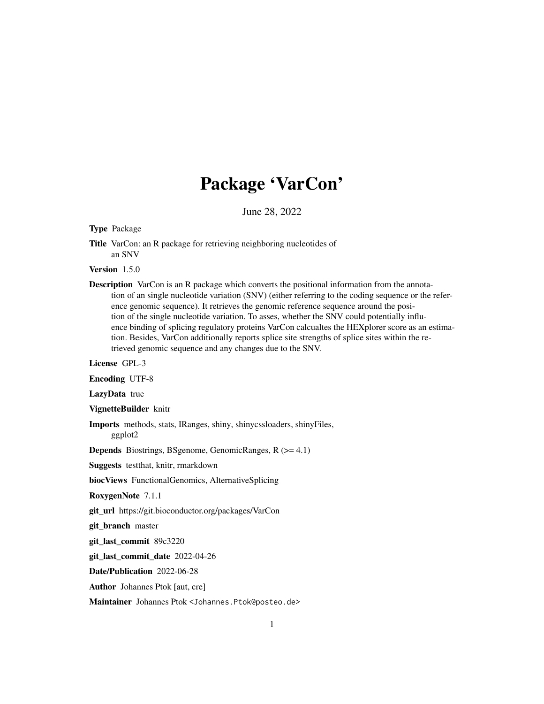# Package 'VarCon'

June 28, 2022

#### Type Package

Title VarCon: an R package for retrieving neighboring nucleotides of an SNV

# Version 1.5.0

Description VarCon is an R package which converts the positional information from the annotation of an single nucleotide variation (SNV) (either referring to the coding sequence or the reference genomic sequence). It retrieves the genomic reference sequence around the position of the single nucleotide variation. To asses, whether the SNV could potentially influence binding of splicing regulatory proteins VarCon calcualtes the HEXplorer score as an estimation. Besides, VarCon additionally reports splice site strengths of splice sites within the retrieved genomic sequence and any changes due to the SNV.

License GPL-3

Encoding UTF-8

LazyData true

VignetteBuilder knitr

Imports methods, stats, IRanges, shiny, shinycssloaders, shinyFiles, ggplot2

Depends Biostrings, BSgenome, GenomicRanges, R (>= 4.1)

Suggests testthat, knitr, rmarkdown

biocViews FunctionalGenomics, AlternativeSplicing

RoxygenNote 7.1.1

git\_url https://git.bioconductor.org/packages/VarCon

git\_branch master

git\_last\_commit 89c3220

git\_last\_commit\_date 2022-04-26

Date/Publication 2022-06-28

Author Johannes Ptok [aut, cre]

Maintainer Johannes Ptok <Johannes.Ptok@posteo.de>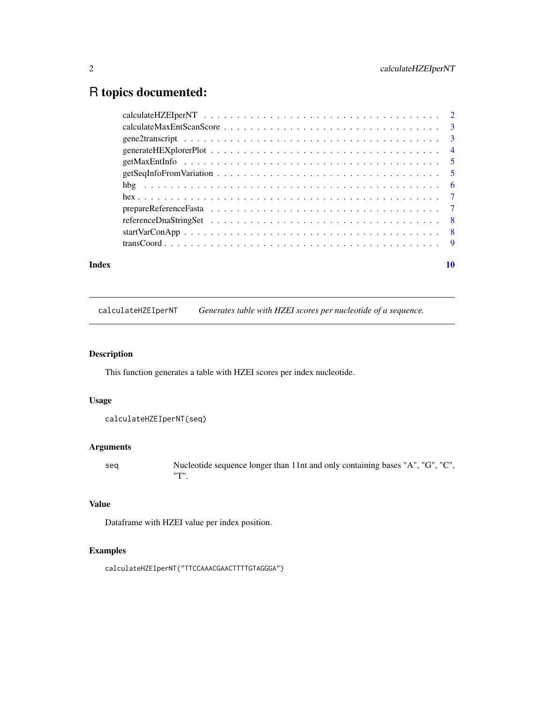# <span id="page-1-0"></span>R topics documented:

| Index | 10 |
|-------|----|
|       |    |
|       |    |
|       |    |
|       |    |
|       |    |
|       |    |
|       |    |
|       |    |
|       |    |
|       |    |
|       |    |
|       |    |

calculateHZEIperNT *Generates table with HZEI scores per nucleotide of a sequence.*

#### Description

This function generates a table with HZEI scores per index nucleotide.

# Usage

```
calculateHZEIperNT(seq)
```
# Arguments

seq Nucleotide sequence longer than 11nt and only containing bases "A", "G", "C", "T".

# Value

Dataframe with HZEI value per index position.

# Examples

calculateHZEIperNT("TTCCAAACGAACTTTTGTAGGGA")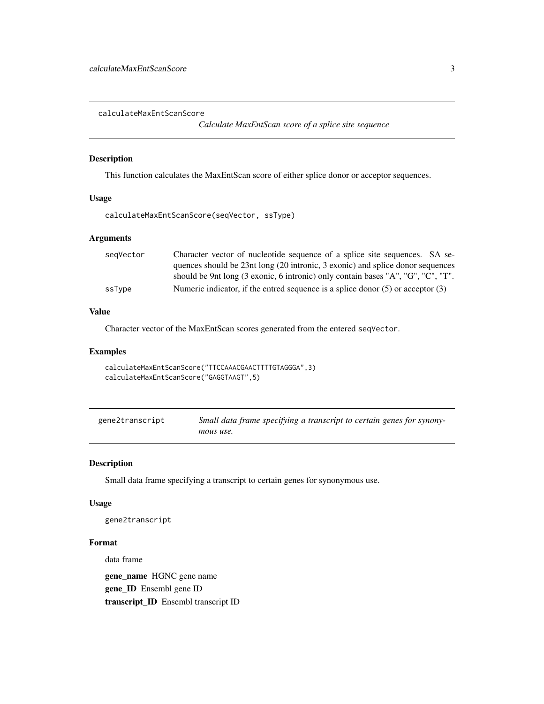<span id="page-2-0"></span>calculateMaxEntScanScore

*Calculate MaxEntScan score of a splice site sequence*

#### Description

This function calculates the MaxEntScan score of either splice donor or acceptor sequences.

### Usage

```
calculateMaxEntScanScore(seqVector, ssType)
```
#### Arguments

| segVector | Character vector of nucleotide sequence of a splice site sequences. SA se-          |
|-----------|-------------------------------------------------------------------------------------|
|           | quences should be 23nt long (20 intronic, 3 exonic) and splice donor sequences      |
|           | should be 9nt long (3 exonic, 6 intronic) only contain bases "A", "G", "C", "T".    |
| ssType    | Numeric indicator, if the entred sequence is a splice donor $(5)$ or acceptor $(3)$ |

#### Value

Character vector of the MaxEntScan scores generated from the entered seqVector.

#### Examples

```
calculateMaxEntScanScore("TTCCAAACGAACTTTTGTAGGGA",3)
calculateMaxEntScanScore("GAGGTAAGT",5)
```
gene2transcript *Small data frame specifying a transcript to certain genes for synonymous use.*

#### Description

Small data frame specifying a transcript to certain genes for synonymous use.

### Usage

```
gene2transcript
```
# Format

data frame

gene\_name HGNC gene name gene\_ID Ensembl gene ID transcript\_ID Ensembl transcript ID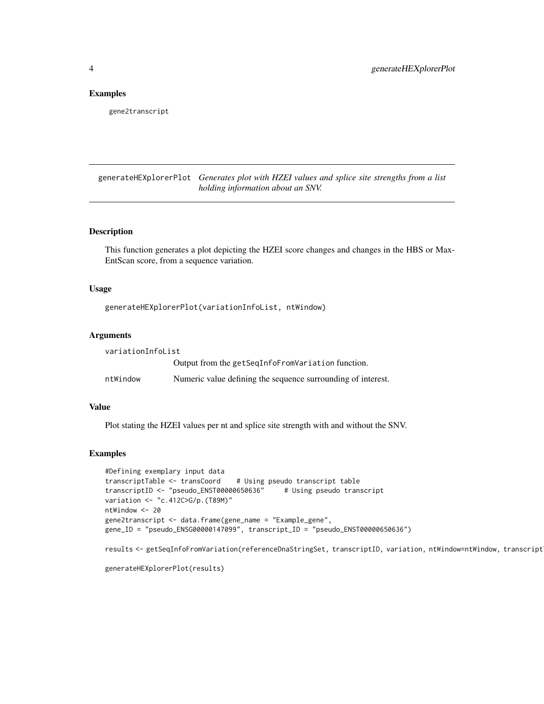#### <span id="page-3-0"></span>Examples

gene2transcript

generateHEXplorerPlot *Generates plot with HZEI values and splice site strengths from a list holding information about an SNV.*

#### Description

This function generates a plot depicting the HZEI score changes and changes in the HBS or Max-EntScan score, from a sequence variation.

#### Usage

generateHEXplorerPlot(variationInfoList, ntWindow)

#### Arguments

| variationInfoList |                                                              |  |  |  |
|-------------------|--------------------------------------------------------------|--|--|--|
|                   | Output from the getSeqInfoFromVariation function.            |  |  |  |
| ntWindow          | Numeric value defining the sequence surrounding of interest. |  |  |  |

# Value

Plot stating the HZEI values per nt and splice site strength with and without the SNV.

# Examples

```
#Defining exemplary input data
transcriptTable <- transCoord # Using pseudo transcript table
transcriptID <- "pseudo_ENST00000650636" # Using pseudo transcript
variation <- "c.412C>G/p.(T89M)"
ntWindow <- 20
gene2transcript <- data.frame(gene_name = "Example_gene",
gene_ID = "pseudo_ENSG00000147099", transcript_ID = "pseudo_ENST00000650636")
```
results <- getSeqInfoFromVariation(referenceDnaStringSet, transcriptID, variation, ntWindow=ntWindow, transcript

```
generateHEXplorerPlot(results)
```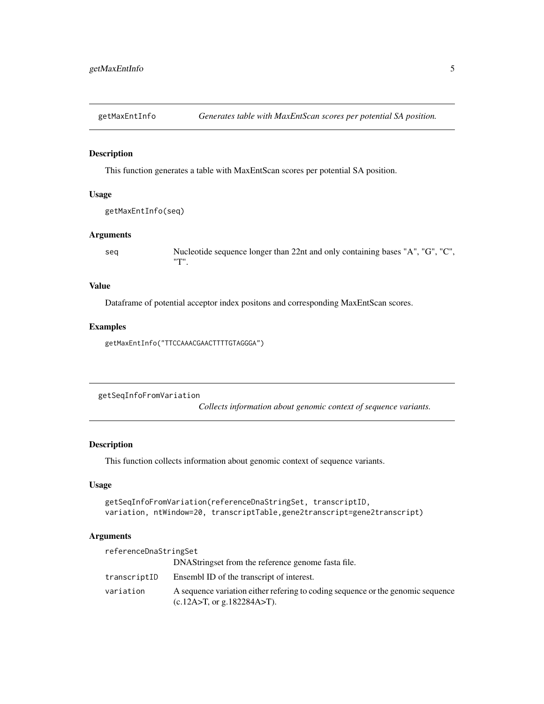<span id="page-4-0"></span>

#### Description

This function generates a table with MaxEntScan scores per potential SA position.

#### Usage

```
getMaxEntInfo(seq)
```
# Arguments

seq Nucleotide sequence longer than 22nt and only containing bases "A", "G", "C", "T".

#### Value

Dataframe of potential acceptor index positons and corresponding MaxEntScan scores.

#### Examples

getMaxEntInfo("TTCCAAACGAACTTTTGTAGGGA")

getSeqInfoFromVariation

*Collects information about genomic context of sequence variants.*

# Description

This function collects information about genomic context of sequence variants.

#### Usage

```
getSeqInfoFromVariation(referenceDnaStringSet, transcriptID,
variation, ntWindow=20, transcriptTable,gene2transcript=gene2transcript)
```
#### Arguments

| referenceDnaStringSet |                                                                                                                   |  |  |  |
|-----------------------|-------------------------------------------------------------------------------------------------------------------|--|--|--|
|                       | DNAStringset from the reference genome fasta file.                                                                |  |  |  |
| transcriptID          | Ensembl ID of the transcript of interest.                                                                         |  |  |  |
| variation             | A sequence variation either refering to coding sequence or the genomic sequence<br>(c.12A > T, or g.182284A > T). |  |  |  |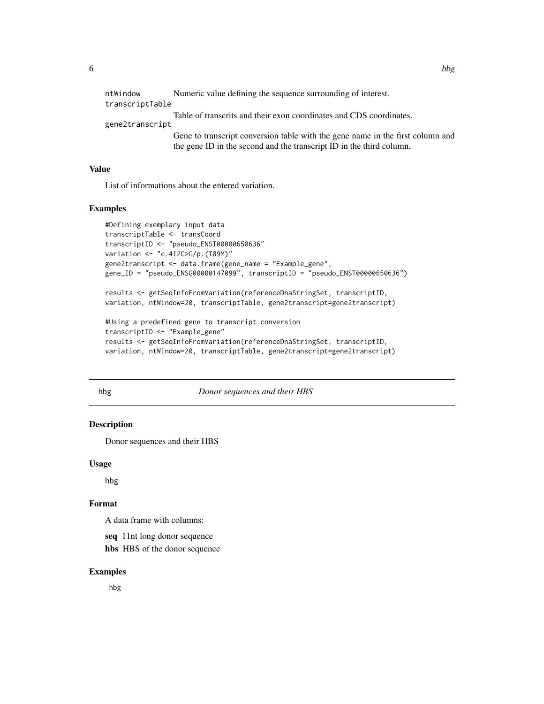<span id="page-5-0"></span>

| ntWindow<br>transcriptTable | Numeric value defining the sequence surrounding of interest.                                                                                           |
|-----------------------------|--------------------------------------------------------------------------------------------------------------------------------------------------------|
| gene2transcript             | Table of transcrits and their exon coordinates and CDS coordinates.                                                                                    |
|                             | Gene to transcript conversion table with the gene name in the first column and<br>the gene ID in the second and the transcript ID in the third column. |

#### Value

List of informations about the entered variation.

#### Examples

```
#Defining exemplary input data
transcriptTable <- transCoord
transcriptID <- "pseudo_ENST00000650636"
variation <- "c.412C>G/p.(T89M)"
gene2transcript <- data.frame(gene_name = "Example_gene",
gene_ID = "pseudo_ENSG00000147099", transcriptID = "pseudo_ENST00000650636")
results <- getSeqInfoFromVariation(referenceDnaStringSet, transcriptID,
variation, ntWindow=20, transcriptTable, gene2transcript=gene2transcript)
#Using a predefined gene to transcript conversion
transcriptID <- "Example_gene"
```
results <- getSeqInfoFromVariation(referenceDnaStringSet, transcriptID, variation, ntWindow=20, transcriptTable, gene2transcript=gene2transcript)

#### hbg *Donor sequences and their HBS*

# Description

Donor sequences and their HBS

#### Usage

hbg

### Format

A data frame with columns:

seq 11nt long donor sequence

hbs HBS of the donor sequence

# Examples

hbg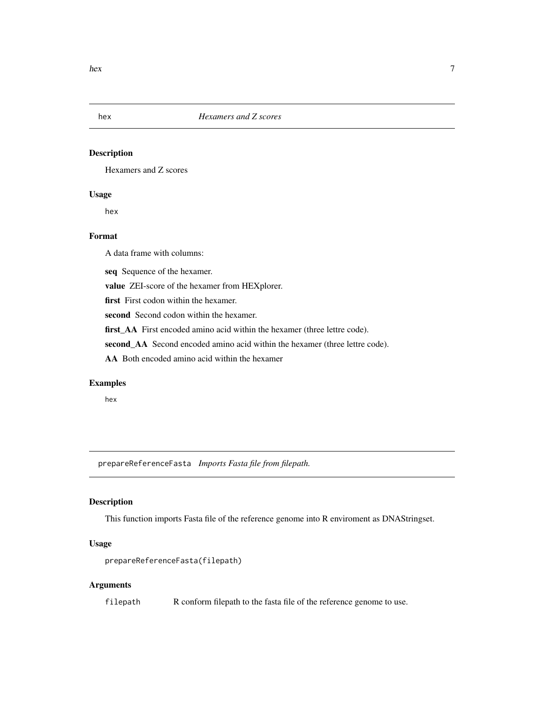<span id="page-6-0"></span>

# Description

Hexamers and Z scores

# Usage

hex

# Format

A data frame with columns:

seq Sequence of the hexamer.

value ZEI-score of the hexamer from HEXplorer.

first First codon within the hexamer.

second Second codon within the hexamer.

first\_AA First encoded amino acid within the hexamer (three lettre code).

second\_AA Second encoded amino acid within the hexamer (three lettre code).

AA Both encoded amino acid within the hexamer

#### Examples

hex

prepareReferenceFasta *Imports Fasta file from filepath.*

### Description

This function imports Fasta file of the reference genome into R enviroment as DNAStringset.

# Usage

prepareReferenceFasta(filepath)

# Arguments

filepath R conform filepath to the fasta file of the reference genome to use.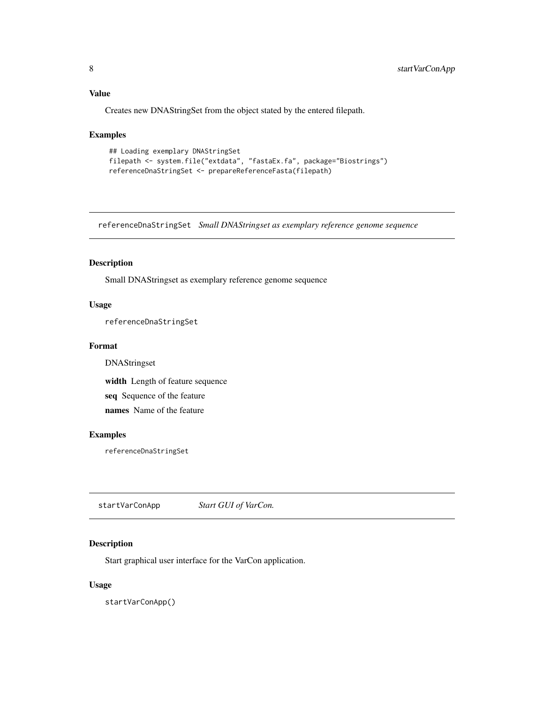# <span id="page-7-0"></span>Value

Creates new DNAStringSet from the object stated by the entered filepath.

#### Examples

```
## Loading exemplary DNAStringSet
filepath <- system.file("extdata", "fastaEx.fa", package="Biostrings")
referenceDnaStringSet <- prepareReferenceFasta(filepath)
```
referenceDnaStringSet *Small DNAStringset as exemplary reference genome sequence*

#### Description

Small DNAStringset as exemplary reference genome sequence

# Usage

referenceDnaStringSet

#### Format

DNAStringset

width Length of feature sequence

seq Sequence of the feature

names Name of the feature

# Examples

referenceDnaStringSet

startVarConApp *Start GUI of VarCon.*

# Description

Start graphical user interface for the VarCon application.

#### Usage

startVarConApp()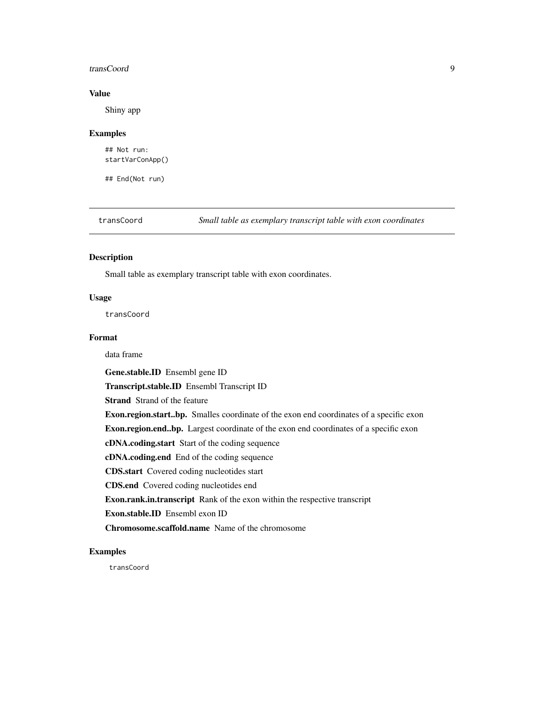#### <span id="page-8-0"></span>transCoord 9

# Value

Shiny app

#### Examples

## Not run: startVarConApp()

## End(Not run)

transCoord *Small table as exemplary transcript table with exon coordinates*

#### Description

Small table as exemplary transcript table with exon coordinates.

# Usage

transCoord

#### Format

data frame

Gene.stable.ID Ensembl gene ID

Transcript.stable.ID Ensembl Transcript ID

Strand Strand of the feature

Exon.region.start..bp. Smalles coordinate of the exon end coordinates of a specific exon

Exon.region.end..bp. Largest coordinate of the exon end coordinates of a specific exon

cDNA.coding.start Start of the coding sequence

cDNA.coding.end End of the coding sequence

CDS.start Covered coding nucleotides start

CDS.end Covered coding nucleotides end

Exon.rank.in.transcript Rank of the exon within the respective transcript

Exon.stable.ID Ensembl exon ID

Chromosome.scaffold.name Name of the chromosome

#### Examples

transCoord